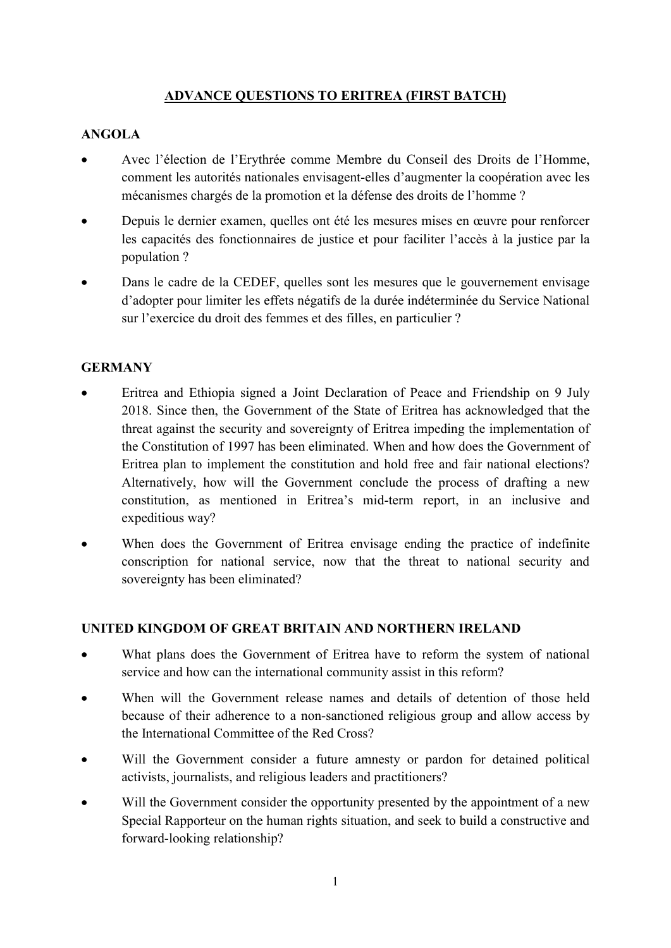#### ADVANCE QUESTIONS TO ERITREA (FIRST BATCH)

## ANGOLA

- Avec l'élection de l'Erythrée comme Membre du Conseil des Droits de l'Homme, comment les autorités nationales envisagent-elles d'augmenter la coopération avec les mécanismes chargés de la promotion et la défense des droits de l'homme ?
- Depuis le dernier examen, quelles ont été les mesures mises en œuvre pour renforcer les capacités des fonctionnaires de justice et pour faciliter l'accès à la justice par la population ?
- Dans le cadre de la CEDEF, quelles sont les mesures que le gouvernement envisage d'adopter pour limiter les effets négatifs de la durée indéterminée du Service National sur l'exercice du droit des femmes et des filles, en particulier ?

### **GERMANY**

- Eritrea and Ethiopia signed a Joint Declaration of Peace and Friendship on 9 July 2018. Since then, the Government of the State of Eritrea has acknowledged that the threat against the security and sovereignty of Eritrea impeding the implementation of the Constitution of 1997 has been eliminated. When and how does the Government of Eritrea plan to implement the constitution and hold free and fair national elections? Alternatively, how will the Government conclude the process of drafting a new constitution, as mentioned in Eritrea's mid-term report, in an inclusive and expeditious way?
- When does the Government of Eritrea envisage ending the practice of indefinite conscription for national service, now that the threat to national security and sovereignty has been eliminated?

#### UNITED KINGDOM OF GREAT BRITAIN AND NORTHERN IRELAND

- What plans does the Government of Eritrea have to reform the system of national service and how can the international community assist in this reform?
- When will the Government release names and details of detention of those held because of their adherence to a non-sanctioned religious group and allow access by the International Committee of the Red Cross?
- Will the Government consider a future amnesty or pardon for detained political activists, journalists, and religious leaders and practitioners?
- Will the Government consider the opportunity presented by the appointment of a new Special Rapporteur on the human rights situation, and seek to build a constructive and forward-looking relationship?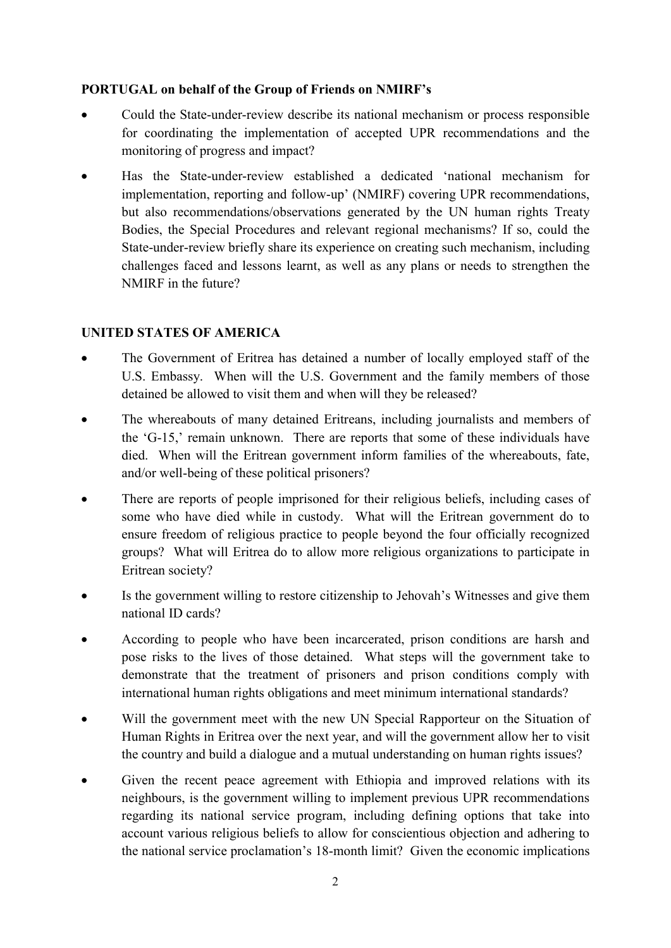#### PORTUGAL on behalf of the Group of Friends on NMIRF's

- Could the State-under-review describe its national mechanism or process responsible for coordinating the implementation of accepted UPR recommendations and the monitoring of progress and impact?
- Has the State-under-review established a dedicated 'national mechanism for implementation, reporting and follow-up' (NMIRF) covering UPR recommendations, but also recommendations/observations generated by the UN human rights Treaty Bodies, the Special Procedures and relevant regional mechanisms? If so, could the State-under-review briefly share its experience on creating such mechanism, including challenges faced and lessons learnt, as well as any plans or needs to strengthen the NMIRF in the future?

# UNITED STATES OF AMERICA

- The Government of Eritrea has detained a number of locally employed staff of the U.S. Embassy. When will the U.S. Government and the family members of those detained be allowed to visit them and when will they be released?
- The whereabouts of many detained Eritreans, including journalists and members of the 'G-15,' remain unknown. There are reports that some of these individuals have died. When will the Eritrean government inform families of the whereabouts, fate, and/or well-being of these political prisoners?
- There are reports of people imprisoned for their religious beliefs, including cases of some who have died while in custody. What will the Eritrean government do to ensure freedom of religious practice to people beyond the four officially recognized groups? What will Eritrea do to allow more religious organizations to participate in Eritrean society?
- Is the government willing to restore citizenship to Jehovah's Witnesses and give them national ID cards?
- According to people who have been incarcerated, prison conditions are harsh and pose risks to the lives of those detained. What steps will the government take to demonstrate that the treatment of prisoners and prison conditions comply with international human rights obligations and meet minimum international standards?
- Will the government meet with the new UN Special Rapporteur on the Situation of Human Rights in Eritrea over the next year, and will the government allow her to visit the country and build a dialogue and a mutual understanding on human rights issues?
- Given the recent peace agreement with Ethiopia and improved relations with its neighbours, is the government willing to implement previous UPR recommendations regarding its national service program, including defining options that take into account various religious beliefs to allow for conscientious objection and adhering to the national service proclamation's 18-month limit? Given the economic implications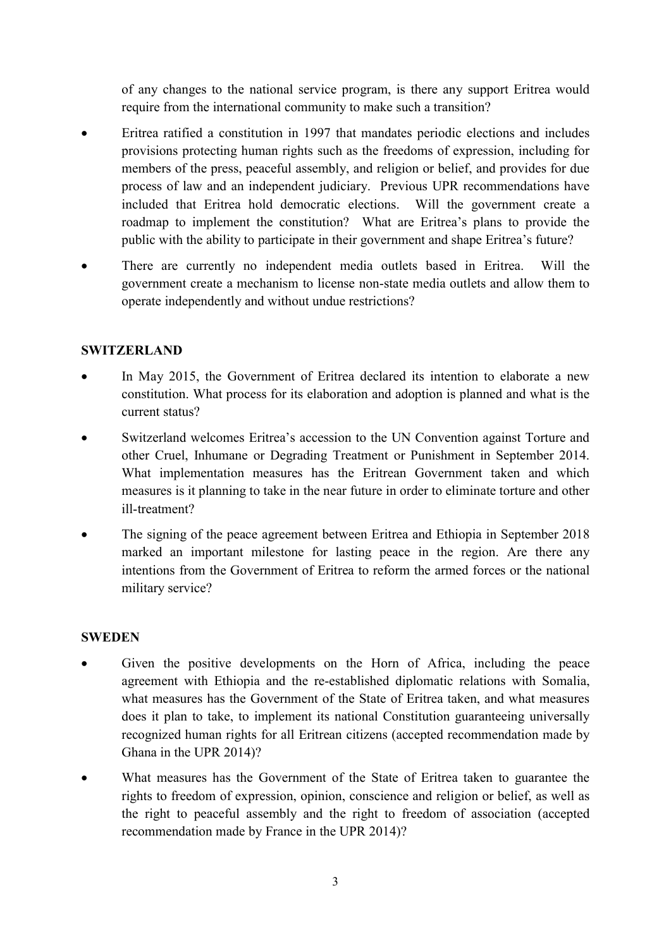of any changes to the national service program, is there any support Eritrea would require from the international community to make such a transition?

- Eritrea ratified a constitution in 1997 that mandates periodic elections and includes provisions protecting human rights such as the freedoms of expression, including for members of the press, peaceful assembly, and religion or belief, and provides for due process of law and an independent judiciary. Previous UPR recommendations have included that Eritrea hold democratic elections. Will the government create a roadmap to implement the constitution? What are Eritrea's plans to provide the public with the ability to participate in their government and shape Eritrea's future?
- There are currently no independent media outlets based in Eritrea. Will the government create a mechanism to license non-state media outlets and allow them to operate independently and without undue restrictions?

#### SWITZERLAND

- In May 2015, the Government of Eritrea declared its intention to elaborate a new constitution. What process for its elaboration and adoption is planned and what is the current status?
- Switzerland welcomes Eritrea's accession to the UN Convention against Torture and other Cruel, Inhumane or Degrading Treatment or Punishment in September 2014. What implementation measures has the Eritrean Government taken and which measures is it planning to take in the near future in order to eliminate torture and other ill-treatment?
- The signing of the peace agreement between Eritrea and Ethiopia in September 2018 marked an important milestone for lasting peace in the region. Are there any intentions from the Government of Eritrea to reform the armed forces or the national military service?

#### **SWEDEN**

- Given the positive developments on the Horn of Africa, including the peace agreement with Ethiopia and the re-established diplomatic relations with Somalia, what measures has the Government of the State of Eritrea taken, and what measures does it plan to take, to implement its national Constitution guaranteeing universally recognized human rights for all Eritrean citizens (accepted recommendation made by Ghana in the UPR 2014)?
- What measures has the Government of the State of Eritrea taken to guarantee the rights to freedom of expression, opinion, conscience and religion or belief, as well as the right to peaceful assembly and the right to freedom of association (accepted recommendation made by France in the UPR 2014)?